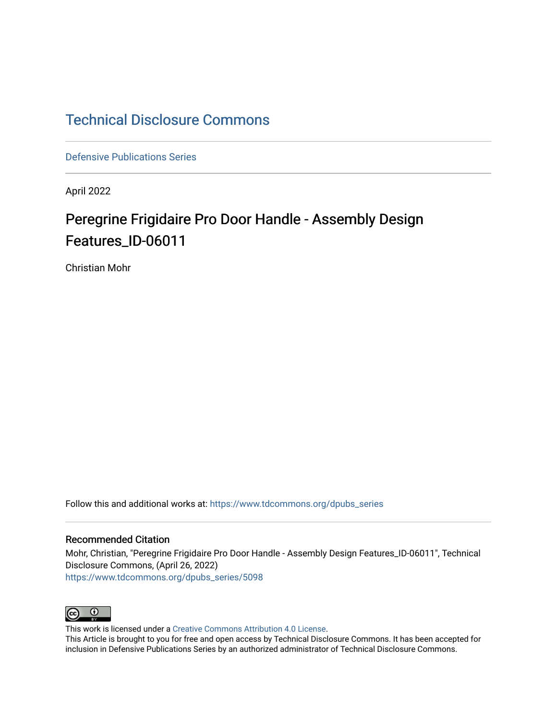# [Technical Disclosure Commons](https://www.tdcommons.org/)

[Defensive Publications Series](https://www.tdcommons.org/dpubs_series)

April 2022

# Peregrine Frigidaire Pro Door Handle - Assembly Design Features\_ID-06011

Christian Mohr

Follow this and additional works at: [https://www.tdcommons.org/dpubs\\_series](https://www.tdcommons.org/dpubs_series?utm_source=www.tdcommons.org%2Fdpubs_series%2F5098&utm_medium=PDF&utm_campaign=PDFCoverPages) 

#### Recommended Citation

Mohr, Christian, "Peregrine Frigidaire Pro Door Handle - Assembly Design Features\_ID-06011", Technical Disclosure Commons, (April 26, 2022) [https://www.tdcommons.org/dpubs\\_series/5098](https://www.tdcommons.org/dpubs_series/5098?utm_source=www.tdcommons.org%2Fdpubs_series%2F5098&utm_medium=PDF&utm_campaign=PDFCoverPages)



This work is licensed under a [Creative Commons Attribution 4.0 License](http://creativecommons.org/licenses/by/4.0/deed.en_US).

This Article is brought to you for free and open access by Technical Disclosure Commons. It has been accepted for inclusion in Defensive Publications Series by an authorized administrator of Technical Disclosure Commons.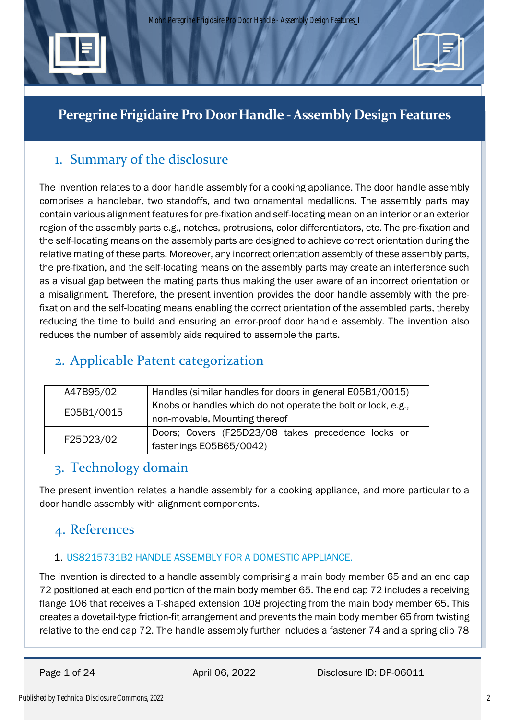

# **Peregrine Frigidaire Pro Door Handle -Assembly Design Features**

# 1. Summary of the disclosure

The invention relates to a door handle assembly for a cooking appliance. The door handle assembly comprises a handlebar, two standoffs, and two ornamental medallions. The assembly parts may contain various alignment features for pre-fixation and self-locating mean on an interior or an exterior region of the assembly parts e.g., notches, protrusions, color differentiators, etc. The pre-fixation and the self-locating means on the assembly parts are designed to achieve correct orientation during the relative mating of these parts. Moreover, any incorrect orientation assembly of these assembly parts, the pre-fixation, and the self-locating means on the assembly parts may create an interference such as a visual gap between the mating parts thus making the user aware of an incorrect orientation or a misalignment. Therefore, the present invention provides the door handle assembly with the prefixation and the self-locating means enabling the correct orientation of the assembled parts, thereby reducing the time to build and ensuring an error-proof door handle assembly. The invention also reduces the number of assembly aids required to assemble the parts.

# 2. Applicable Patent categorization

| A47B95/02  | Handles (similar handles for doors in general E05B1/0015)     |
|------------|---------------------------------------------------------------|
| E05B1/0015 | Knobs or handles which do not operate the bolt or lock, e.g., |
|            | non-movable, Mounting thereof                                 |
| F25D23/02  | Doors; Covers (F25D23/08 takes precedence locks or            |
|            | fastenings E05B65/0042)                                       |

# 3. Technology domain

The present invention relates a handle assembly for a cooking appliance, and more particular to a door handle assembly with alignment components.

# 4. References

## 1. [US8215731B2 HANDLE ASSEMBLY FOR A DOMESTIC APPLIANCE.](https://worldwide.espacenet.com/patent/search/family/041503804/publication/US8215731B2?q=US8215731B2)

The invention is directed to a handle assembly comprising a main body member 65 and an end cap 72 positioned at each end portion of the main body member 65. The end cap 72 includes a receiving flange 106 that receives a T-shaped extension 108 projecting from the main body member 65. This creates a dovetail-type friction-fit arrangement and prevents the main body member 65 from twisting relative to the end cap 72. The handle assembly further includes a fastener 74 and a spring clip 78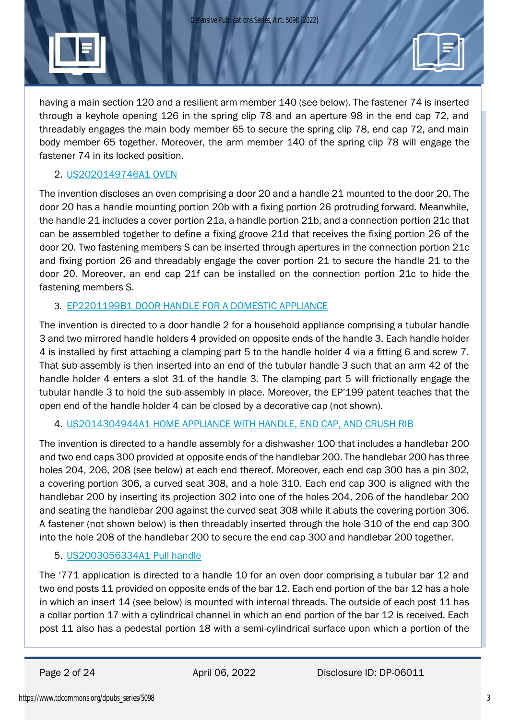

having a main section 120 and a resilient arm member 140 (see below). The fastener 74 is inserted through a keyhole opening 126 in the spring clip 78 and an aperture 98 in the end cap 72, and threadably engages the main body member 65 to secure the spring clip 78, end cap 72, and main body member 65 together. Moreover, the arm member 140 of the spring clip 78 will engage the fastener 74 in its locked position.

## 2. [US2020149746A1 OVEN](https://worldwide.espacenet.com/patent/search/family/063920270/publication/US2020149746A1?q=pn%3DUS2020149746A1)

The invention discloses an oven comprising a door 20 and a handle 21 mounted to the door 20. The door 20 has a handle mounting portion 20b with a fixing portion 26 protruding forward. Meanwhile, the handle 21 includes a cover portion 21a, a handle portion 21b, and a connection portion 21c that can be assembled together to define a fixing groove 21d that receives the fixing portion 26 of the door 20. Two fastening members S can be inserted through apertures in the connection portion 21c and fixing portion 26 and threadably engage the cover portion 21 to secure the handle 21 to the door 20. Moreover, an end cap 21f can be installed on the connection portion 21c to hide the fastening members S.

# 3. [EP2201199B1 DOOR HANDLE FOR A DOMESTIC APPLIANCE](https://worldwide.espacenet.com/patent/search/family/038859895/publication/EP2201199B1?q=pn%3DEP2201199B1)

The invention is directed to a door handle 2 for a household appliance comprising a tubular handle 3 and two mirrored handle holders 4 provided on opposite ends of the handle 3. Each handle holder 4 is installed by first attaching a clamping part 5 to the handle holder 4 via a fitting 6 and screw 7. That sub-assembly is then inserted into an end of the tubular handle 3 such that an arm 42 of the handle holder 4 enters a slot 31 of the handle 3. The clamping part 5 will frictionally engage the tubular handle 3 to hold the sub-assembly in place. Moreover, the EP'199 patent teaches that the open end of the handle holder 4 can be closed by a decorative cap (not shown).

## 4. [US2014304944A1 HOME APPLIANCE WITH HANDLE, END CAP, AND CRUSH RIB](https://worldwide.espacenet.com/patent/search/family/051685752/publication/US2014304944A1?q=pn%3DUS2014304944A1)

The invention is directed to a handle assembly for a dishwasher 100 that includes a handlebar 200 and two end caps 300 provided at opposite ends of the handlebar 200. The handlebar 200 has three holes 204, 206, 208 (see below) at each end thereof. Moreover, each end cap 300 has a pin 302, a covering portion 306, a curved seat 308, and a hole 310. Each end cap 300 is aligned with the handlebar 200 by inserting its projection 302 into one of the holes 204, 206 of the handlebar 200 and seating the handlebar 200 against the curved seat 308 while it abuts the covering portion 306. A fastener (not shown below) is then threadably inserted through the hole 310 of the end cap 300 into the hole 208 of the handlebar 200 to secure the end cap 300 and handlebar 200 together.

## 5. [US2003056334A1](https://worldwide.espacenet.com/patent/search/family/025504972/publication/US2003056334A1?q=pn%3DUS2003056334A1) Pull handle

The '771 application is directed to a handle 10 for an oven door comprising a tubular bar 12 and two end posts 11 provided on opposite ends of the bar 12. Each end portion of the bar 12 has a hole in which an insert 14 (see below) is mounted with internal threads. The outside of each post 11 has a collar portion 17 with a cylindrical channel in which an end portion of the bar 12 is received. Each post 11 also has a pedestal portion 18 with a semi-cylindrical surface upon which a portion of the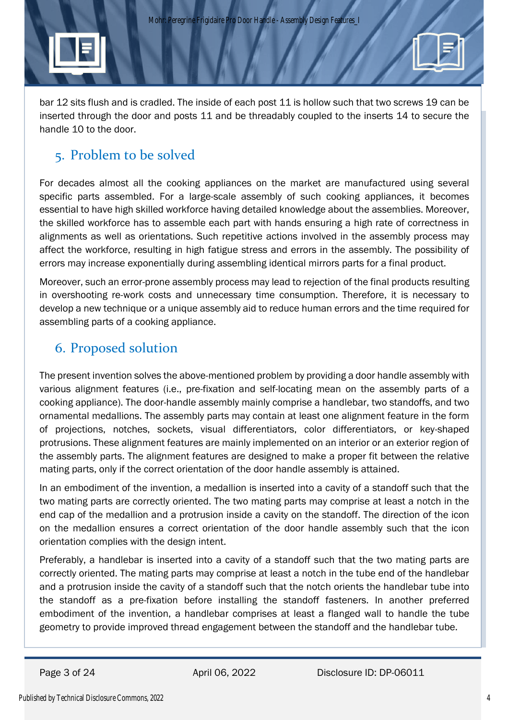bar 12 sits flush and is cradled. The inside of each post 11 is hollow such that two screws 19 can be inserted through the door and posts 11 and be threadably coupled to the inserts 14 to secure the handle 10 to the door.

# 5. Problem to be solved

For decades almost all the cooking appliances on the market are manufactured using several specific parts assembled. For a large-scale assembly of such cooking appliances, it becomes essential to have high skilled workforce having detailed knowledge about the assemblies. Moreover, the skilled workforce has to assemble each part with hands ensuring a high rate of correctness in alignments as well as orientations. Such repetitive actions involved in the assembly process may affect the workforce, resulting in high fatigue stress and errors in the assembly. The possibility of errors may increase exponentially during assembling identical mirrors parts for a final product.

Moreover, such an error-prone assembly process may lead to rejection of the final products resulting in overshooting re-work costs and unnecessary time consumption. Therefore, it is necessary to develop a new technique or a unique assembly aid to reduce human errors and the time required for assembling parts of a cooking appliance.

# 6. Proposed solution

The present invention solves the above-mentioned problem by providing a door handle assembly with various alignment features (i.e., pre-fixation and self-locating mean on the assembly parts of a cooking appliance). The door-handle assembly mainly comprise a handlebar, two standoffs, and two ornamental medallions. The assembly parts may contain at least one alignment feature in the form of projections, notches, sockets, visual differentiators, color differentiators, or key-shaped protrusions. These alignment features are mainly implemented on an interior or an exterior region of the assembly parts. The alignment features are designed to make a proper fit between the relative mating parts, only if the correct orientation of the door handle assembly is attained.

In an embodiment of the invention, a medallion is inserted into a cavity of a standoff such that the two mating parts are correctly oriented. The two mating parts may comprise at least a notch in the end cap of the medallion and a protrusion inside a cavity on the standoff. The direction of the icon on the medallion ensures a correct orientation of the door handle assembly such that the icon orientation complies with the design intent.

Preferably, a handlebar is inserted into a cavity of a standoff such that the two mating parts are correctly oriented. The mating parts may comprise at least a notch in the tube end of the handlebar and a protrusion inside the cavity of a standoff such that the notch orients the handlebar tube into the standoff as a pre-fixation before installing the standoff fasteners. In another preferred embodiment of the invention, a handlebar comprises at least a flanged wall to handle the tube geometry to provide improved thread engagement between the standoff and the handlebar tube.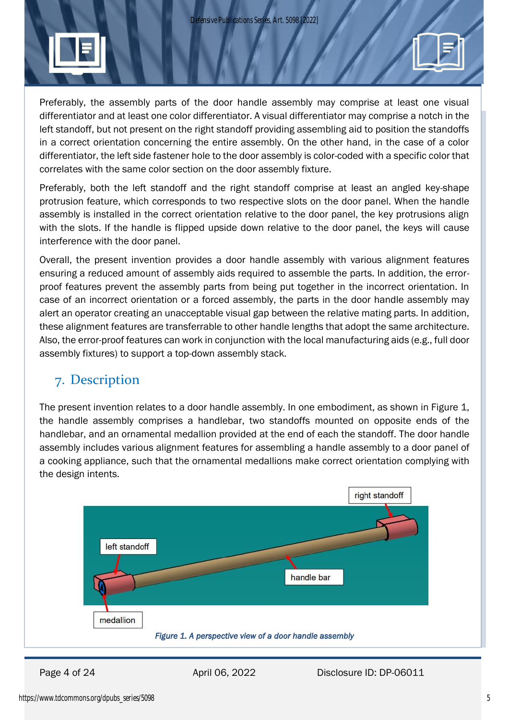

Preferably, the assembly parts of the door handle assembly may comprise at least one visual differentiator and at least one color differentiator. A visual differentiator may comprise a notch in the left standoff, but not present on the right standoff providing assembling aid to position the standoffs in a correct orientation concerning the entire assembly. On the other hand, in the case of a color differentiator, the left side fastener hole to the door assembly is color-coded with a specific color that correlates with the same color section on the door assembly fixture.

Preferably, both the left standoff and the right standoff comprise at least an angled key-shape protrusion feature, which corresponds to two respective slots on the door panel. When the handle assembly is installed in the correct orientation relative to the door panel, the key protrusions align with the slots. If the handle is flipped upside down relative to the door panel, the keys will cause interference with the door panel.

Overall, the present invention provides a door handle assembly with various alignment features ensuring a reduced amount of assembly aids required to assemble the parts. In addition, the errorproof features prevent the assembly parts from being put together in the incorrect orientation. In case of an incorrect orientation or a forced assembly, the parts in the door handle assembly may alert an operator creating an unacceptable visual gap between the relative mating parts. In addition, these alignment features are transferrable to other handle lengths that adopt the same architecture. Also, the error-proof features can work in conjunction with the local manufacturing aids (e.g., full door assembly fixtures) to support a top-down assembly stack.

# 7. Description

The present invention relates to a door handle assembly. In one embodiment, as shown in [Figure 1,](#page-4-0) the handle assembly comprises a handlebar, two standoffs mounted on opposite ends of the handlebar, and an ornamental medallion provided at the end of each the standoff. The door handle assembly includes various alignment features for assembling a handle assembly to a door panel of a cooking appliance, such that the ornamental medallions make correct orientation complying with the design intents.



<span id="page-4-0"></span>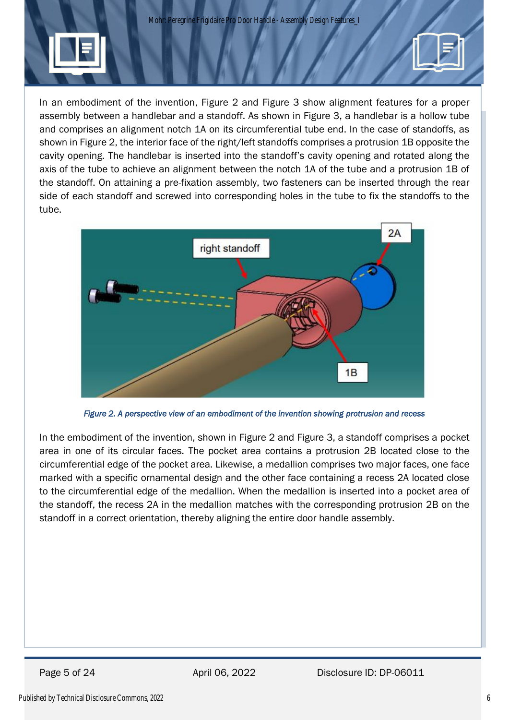Mohr: Peregrine Frigidaire Pro Door Handle - Assembly Design Features\_I

In an embodiment of the invention, [Figure 2](#page-5-0) and [Figure 3](#page-6-0) show alignment features for a proper assembly between a handlebar and a standoff. As shown in [Figure 3,](#page-6-0) a handlebar is a hollow tube and comprises an alignment notch 1A on its circumferential tube end. In the case of standoffs, as shown in [Figure 2,](#page-5-0) the interior face of the right/left standoffs comprises a protrusion 1B opposite the cavity opening. The handlebar is inserted into the standoff's cavity opening and rotated along the axis of the tube to achieve an alignment between the notch 1A of the tube and a protrusion 1B of the standoff. On attaining a pre-fixation assembly, two fasteners can be inserted through the rear side of each standoff and screwed into corresponding holes in the tube to fix the standoffs to the tube.



*Figure 2. A perspective view of an embodiment of the invention showing protrusion and recess* 

<span id="page-5-0"></span>In the embodiment of the invention, shown in [Figure 2](#page-5-0) and [Figure 3,](#page-6-0) a standoff comprises a pocket area in one of its circular faces. The pocket area contains a protrusion 2B located close to the circumferential edge of the pocket area. Likewise, a medallion comprises two major faces, one face marked with a specific ornamental design and the other face containing a recess 2A located close to the circumferential edge of the medallion. When the medallion is inserted into a pocket area of the standoff, the recess 2A in the medallion matches with the corresponding protrusion 2B on the standoff in a correct orientation, thereby aligning the entire door handle assembly.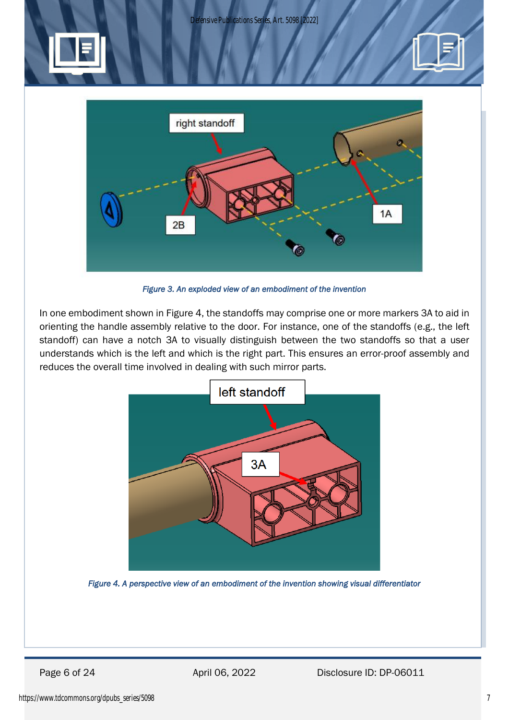*Defensive Publications Series, Art. 5098 [2022]*





*Figure 3. An exploded view of an embodiment of the invention* 

<span id="page-6-0"></span>In one embodiment shown in [Figure 4,](#page-6-1) the standoffs may comprise one or more markers 3A to aid in orienting the handle assembly relative to the door. For instance, one of the standoffs (e.g., the left standoff) can have a notch 3A to visually distinguish between the two standoffs so that a user understands which is the left and which is the right part. This ensures an error-proof assembly and reduces the overall time involved in dealing with such mirror parts.



<span id="page-6-1"></span>*Figure 4. A perspective view of an embodiment of the invention showing visual differentiator*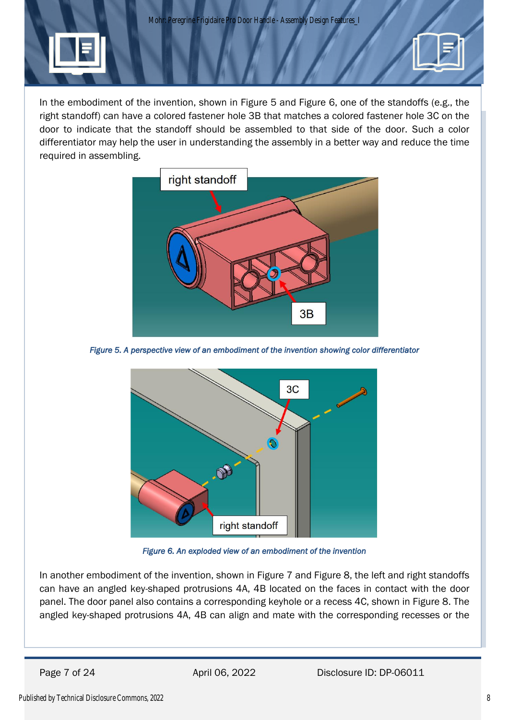Mohr: Peregrine Frigidaire Pro Door Handle - Assembly Design Features\_I

In the embodiment of the invention, shown in [Figure 5](#page-7-0) and [Figure 6,](#page-7-1) one of the standoffs (e.g., the right standoff) can have a colored fastener hole 3B that matches a colored fastener hole 3C on the door to indicate that the standoff should be assembled to that side of the door. Such a color differentiator may help the user in understanding the assembly in a better way and reduce the time required in assembling.



<span id="page-7-0"></span>*Figure 5. A perspective view of an embodiment of the invention showing color differentiator* 



*Figure 6. An exploded view of an embodiment of the invention* 

<span id="page-7-1"></span>In another embodiment of the invention, shown in [Figure 7](#page-8-0) and [Figure 8,](#page-8-1) the left and right standoffs can have an angled key-shaped protrusions 4A, 4B located on the faces in contact with the door panel. The door panel also contains a corresponding keyhole or a recess 4C, shown in [Figure 8.](#page-8-1) The angled key-shaped protrusions 4A, 4B can align and mate with the corresponding recesses or the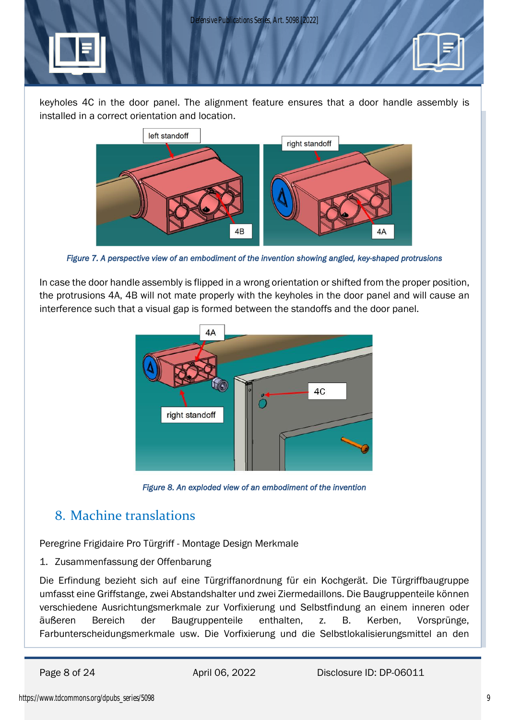

*Defensive Publications Series, Art. 5098 [2022]*

keyholes 4C in the door panel. The alignment feature ensures that a door handle assembly is installed in a correct orientation and location.



*Figure 7. A perspective view of an embodiment of the invention showing angled, key-shaped protrusions* 

<span id="page-8-0"></span>In case the door handle assembly is flipped in a wrong orientation or shifted from the proper position, the protrusions 4A, 4B will not mate properly with the keyholes in the door panel and will cause an interference such that a visual gap is formed between the standoffs and the door panel.



*Figure 8. An exploded view of an embodiment of the invention* 

# <span id="page-8-1"></span>8. Machine translations

Peregrine Frigidaire Pro Türgriff - Montage Design Merkmale

1. Zusammenfassung der Offenbarung

Die Erfindung bezieht sich auf eine Türgriffanordnung für ein Kochgerät. Die Türgriffbaugruppe umfasst eine Griffstange, zwei Abstandshalter und zwei Ziermedaillons. Die Baugruppenteile können verschiedene Ausrichtungsmerkmale zur Vorfixierung und Selbstfindung an einem inneren oder äußeren Bereich der Baugruppenteile enthalten, z. B. Kerben, Vorsprünge, Farbunterscheidungsmerkmale usw. Die Vorfixierung und die Selbstlokalisierungsmittel an den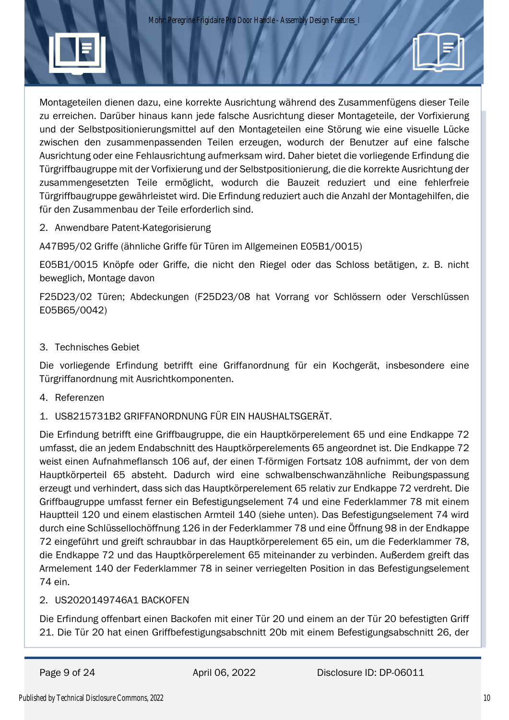Montageteilen dienen dazu, eine korrekte Ausrichtung während des Zusammenfügens dieser Teile zu erreichen. Darüber hinaus kann jede falsche Ausrichtung dieser Montageteile, der Vorfixierung und der Selbstpositionierungsmittel auf den Montageteilen eine Störung wie eine visuelle Lücke zwischen den zusammenpassenden Teilen erzeugen, wodurch der Benutzer auf eine falsche Ausrichtung oder eine Fehlausrichtung aufmerksam wird. Daher bietet die vorliegende Erfindung die Türgriffbaugruppe mit der Vorfixierung und der Selbstpositionierung, die die korrekte Ausrichtung der zusammengesetzten Teile ermöglicht, wodurch die Bauzeit reduziert und eine fehlerfreie Türgriffbaugruppe gewährleistet wird. Die Erfindung reduziert auch die Anzahl der Montagehilfen, die für den Zusammenbau der Teile erforderlich sind.

2. Anwendbare Patent-Kategorisierung

A47B95/02 Griffe (ähnliche Griffe für Türen im Allgemeinen E05B1/0015)

E05B1/0015 Knöpfe oder Griffe, die nicht den Riegel oder das Schloss betätigen, z. B. nicht beweglich, Montage davon

F25D23/02 Türen; Abdeckungen (F25D23/08 hat Vorrang vor Schlössern oder Verschlüssen E05B65/0042)

3. Technisches Gebiet

Die vorliegende Erfindung betrifft eine Griffanordnung für ein Kochgerät, insbesondere eine Türgriffanordnung mit Ausrichtkomponenten.

- 4. Referenzen
- 1. US8215731B2 GRIFFANORDNUNG FÜR EIN HAUSHALTSGERÄT.

Die Erfindung betrifft eine Griffbaugruppe, die ein Hauptkörperelement 65 und eine Endkappe 72 umfasst, die an jedem Endabschnitt des Hauptkörperelements 65 angeordnet ist. Die Endkappe 72 weist einen Aufnahmeflansch 106 auf, der einen T-förmigen Fortsatz 108 aufnimmt, der von dem Hauptkörperteil 65 absteht. Dadurch wird eine schwalbenschwanzähnliche Reibungspassung erzeugt und verhindert, dass sich das Hauptkörperelement 65 relativ zur Endkappe 72 verdreht. Die Griffbaugruppe umfasst ferner ein Befestigungselement 74 und eine Federklammer 78 mit einem Hauptteil 120 und einem elastischen Armteil 140 (siehe unten). Das Befestigungselement 74 wird durch eine Schlüssellochöffnung 126 in der Federklammer 78 und eine Öffnung 98 in der Endkappe 72 eingeführt und greift schraubbar in das Hauptkörperelement 65 ein, um die Federklammer 78, die Endkappe 72 und das Hauptkörperelement 65 miteinander zu verbinden. Außerdem greift das Armelement 140 der Federklammer 78 in seiner verriegelten Position in das Befestigungselement 74 ein.

## 2. US2020149746A1 BACKOFEN

Die Erfindung offenbart einen Backofen mit einer Tür 20 und einem an der Tür 20 befestigten Griff 21. Die Tür 20 hat einen Griffbefestigungsabschnitt 20b mit einem Befestigungsabschnitt 26, der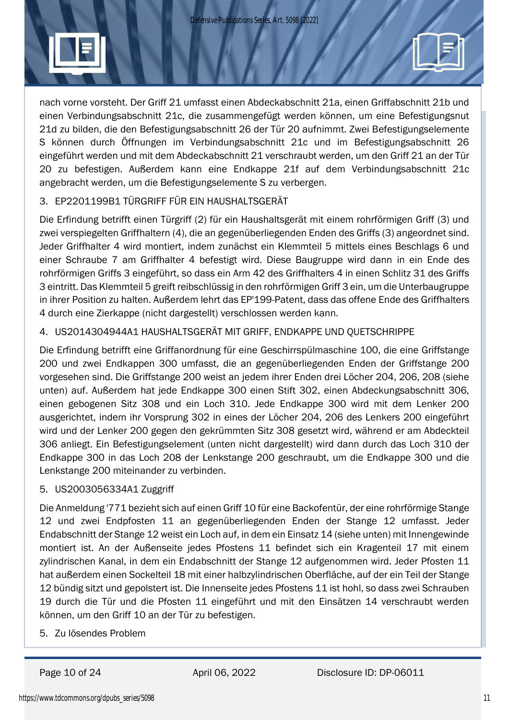

nach vorne vorsteht. Der Griff 21 umfasst einen Abdeckabschnitt 21a, einen Griffabschnitt 21b und einen Verbindungsabschnitt 21c, die zusammengefügt werden können, um eine Befestigungsnut 21d zu bilden, die den Befestigungsabschnitt 26 der Tür 20 aufnimmt. Zwei Befestigungselemente S können durch Öffnungen im Verbindungsabschnitt 21c und im Befestigungsabschnitt 26 eingeführt werden und mit dem Abdeckabschnitt 21 verschraubt werden, um den Griff 21 an der Tür 20 zu befestigen. Außerdem kann eine Endkappe 21f auf dem Verbindungsabschnitt 21c angebracht werden, um die Befestigungselemente S zu verbergen.

### 3. EP2201199B1 TÜRGRIFF FÜR EIN HAUSHALTSGERÄT

Die Erfindung betrifft einen Türgriff (2) für ein Haushaltsgerät mit einem rohrförmigen Griff (3) und zwei verspiegelten Griffhaltern (4), die an gegenüberliegenden Enden des Griffs (3) angeordnet sind. Jeder Griffhalter 4 wird montiert, indem zunächst ein Klemmteil 5 mittels eines Beschlags 6 und einer Schraube 7 am Griffhalter 4 befestigt wird. Diese Baugruppe wird dann in ein Ende des rohrförmigen Griffs 3 eingeführt, so dass ein Arm 42 des Griffhalters 4 in einen Schlitz 31 des Griffs 3 eintritt. Das Klemmteil 5 greift reibschlüssig in den rohrförmigen Griff 3 ein, um die Unterbaugruppe in ihrer Position zu halten. Außerdem lehrt das EP'199-Patent, dass das offene Ende des Griffhalters 4 durch eine Zierkappe (nicht dargestellt) verschlossen werden kann.

## 4. US2014304944A1 HAUSHALTSGERÄT MIT GRIFF, ENDKAPPE UND QUETSCHRIPPE

Die Erfindung betrifft eine Griffanordnung für eine Geschirrspülmaschine 100, die eine Griffstange 200 und zwei Endkappen 300 umfasst, die an gegenüberliegenden Enden der Griffstange 200 vorgesehen sind. Die Griffstange 200 weist an jedem ihrer Enden drei Löcher 204, 206, 208 (siehe unten) auf. Außerdem hat jede Endkappe 300 einen Stift 302, einen Abdeckungsabschnitt 306, einen gebogenen Sitz 308 und ein Loch 310. Jede Endkappe 300 wird mit dem Lenker 200 ausgerichtet, indem ihr Vorsprung 302 in eines der Löcher 204, 206 des Lenkers 200 eingeführt wird und der Lenker 200 gegen den gekrümmten Sitz 308 gesetzt wird, während er am Abdeckteil 306 anliegt. Ein Befestigungselement (unten nicht dargestellt) wird dann durch das Loch 310 der Endkappe 300 in das Loch 208 der Lenkstange 200 geschraubt, um die Endkappe 300 und die Lenkstange 200 miteinander zu verbinden.

#### 5. US2003056334A1 Zuggriff

Die Anmeldung '771 bezieht sich auf einen Griff 10 für eine Backofentür, der eine rohrförmige Stange 12 und zwei Endpfosten 11 an gegenüberliegenden Enden der Stange 12 umfasst. Jeder Endabschnitt der Stange 12 weist ein Loch auf, in dem ein Einsatz 14 (siehe unten) mit Innengewinde montiert ist. An der Außenseite jedes Pfostens 11 befindet sich ein Kragenteil 17 mit einem zylindrischen Kanal, in dem ein Endabschnitt der Stange 12 aufgenommen wird. Jeder Pfosten 11 hat außerdem einen Sockelteil 18 mit einer halbzylindrischen Oberfläche, auf der ein Teil der Stange 12 bündig sitzt und gepolstert ist. Die Innenseite jedes Pfostens 11 ist hohl, so dass zwei Schrauben 19 durch die Tür und die Pfosten 11 eingeführt und mit den Einsätzen 14 verschraubt werden können, um den Griff 10 an der Tür zu befestigen.

#### 5. Zu lösendes Problem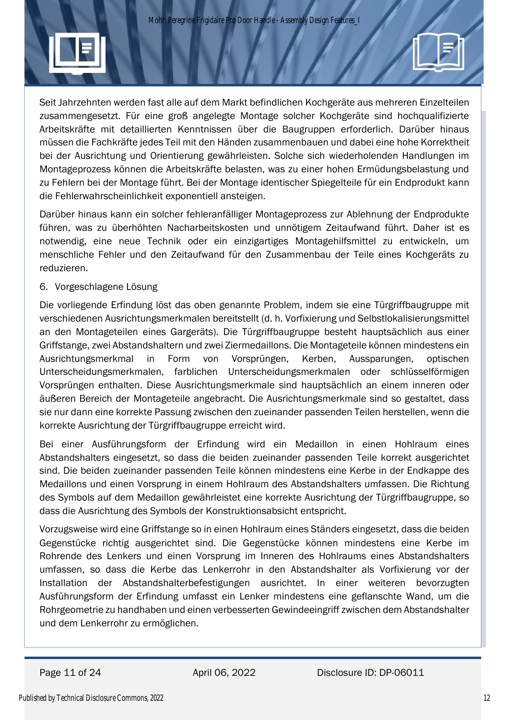Seit Jahrzehnten werden fast alle auf dem Markt befindlichen Kochgeräte aus mehreren Einzelteilen zusammengesetzt. Für eine groß angelegte Montage solcher Kochgeräte sind hochqualifizierte Arbeitskräfte mit detaillierten Kenntnissen über die Baugruppen erforderlich. Darüber hinaus müssen die Fachkräfte jedes Teil mit den Händen zusammenbauen und dabei eine hohe Korrektheit bei der Ausrichtung und Orientierung gewährleisten. Solche sich wiederholenden Handlungen im Montageprozess können die Arbeitskräfte belasten, was zu einer hohen Ermüdungsbelastung und zu Fehlern bei der Montage führt. Bei der Montage identischer Spiegelteile für ein Endprodukt kann die Fehlerwahrscheinlichkeit exponentiell ansteigen.

Darüber hinaus kann ein solcher fehleranfälliger Montageprozess zur Ablehnung der Endprodukte führen, was zu überhöhten Nacharbeitskosten und unnötigem Zeitaufwand führt. Daher ist es notwendig, eine neue Technik oder ein einzigartiges Montagehilfsmittel zu entwickeln, um menschliche Fehler und den Zeitaufwand für den Zusammenbau der Teile eines Kochgeräts zu reduzieren.

#### 6. Vorgeschlagene Lösung

Die vorliegende Erfindung löst das oben genannte Problem, indem sie eine Türgriffbaugruppe mit verschiedenen Ausrichtungsmerkmalen bereitstellt (d. h. Vorfixierung und Selbstlokalisierungsmittel an den Montageteilen eines Gargeräts). Die Türgriffbaugruppe besteht hauptsächlich aus einer Griffstange, zwei Abstandshaltern und zwei Ziermedaillons. Die Montageteile können mindestens ein Ausrichtungsmerkmal in Form von Vorsprüngen, Kerben, Aussparungen, optischen Unterscheidungsmerkmalen, farblichen Unterscheidungsmerkmalen oder schlüsselförmigen Vorsprüngen enthalten. Diese Ausrichtungsmerkmale sind hauptsächlich an einem inneren oder äußeren Bereich der Montageteile angebracht. Die Ausrichtungsmerkmale sind so gestaltet, dass sie nur dann eine korrekte Passung zwischen den zueinander passenden Teilen herstellen, wenn die korrekte Ausrichtung der Türgriffbaugruppe erreicht wird.

Bei einer Ausführungsform der Erfindung wird ein Medaillon in einen Hohlraum eines Abstandshalters eingesetzt, so dass die beiden zueinander passenden Teile korrekt ausgerichtet sind. Die beiden zueinander passenden Teile können mindestens eine Kerbe in der Endkappe des Medaillons und einen Vorsprung in einem Hohlraum des Abstandshalters umfassen. Die Richtung des Symbols auf dem Medaillon gewährleistet eine korrekte Ausrichtung der Türgriffbaugruppe, so dass die Ausrichtung des Symbols der Konstruktionsabsicht entspricht.

Vorzugsweise wird eine Griffstange so in einen Hohlraum eines Ständers eingesetzt, dass die beiden Gegenstücke richtig ausgerichtet sind. Die Gegenstücke können mindestens eine Kerbe im Rohrende des Lenkers und einen Vorsprung im Inneren des Hohlraums eines Abstandshalters umfassen, so dass die Kerbe das Lenkerrohr in den Abstandshalter als Vorfixierung vor der Installation der Abstandshalterbefestigungen ausrichtet. In einer weiteren bevorzugten Ausführungsform der Erfindung umfasst ein Lenker mindestens eine geflanschte Wand, um die Rohrgeometrie zu handhaben und einen verbesserten Gewindeeingriff zwischen dem Abstandshalter und dem Lenkerrohr zu ermöglichen.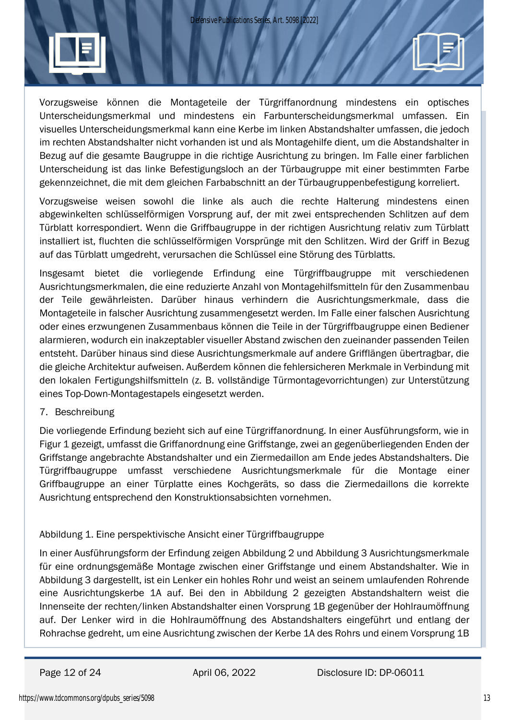

Vorzugsweise können die Montageteile der Türgriffanordnung mindestens ein optisches Unterscheidungsmerkmal und mindestens ein Farbunterscheidungsmerkmal umfassen. Ein visuelles Unterscheidungsmerkmal kann eine Kerbe im linken Abstandshalter umfassen, die jedoch im rechten Abstandshalter nicht vorhanden ist und als Montagehilfe dient, um die Abstandshalter in Bezug auf die gesamte Baugruppe in die richtige Ausrichtung zu bringen. Im Falle einer farblichen Unterscheidung ist das linke Befestigungsloch an der Türbaugruppe mit einer bestimmten Farbe gekennzeichnet, die mit dem gleichen Farbabschnitt an der Türbaugruppenbefestigung korreliert.

Vorzugsweise weisen sowohl die linke als auch die rechte Halterung mindestens einen abgewinkelten schlüsselförmigen Vorsprung auf, der mit zwei entsprechenden Schlitzen auf dem Türblatt korrespondiert. Wenn die Griffbaugruppe in der richtigen Ausrichtung relativ zum Türblatt installiert ist, fluchten die schlüsselförmigen Vorsprünge mit den Schlitzen. Wird der Griff in Bezug auf das Türblatt umgedreht, verursachen die Schlüssel eine Störung des Türblatts.

Insgesamt bietet die vorliegende Erfindung eine Türgriffbaugruppe mit verschiedenen Ausrichtungsmerkmalen, die eine reduzierte Anzahl von Montagehilfsmitteln für den Zusammenbau der Teile gewährleisten. Darüber hinaus verhindern die Ausrichtungsmerkmale, dass die Montageteile in falscher Ausrichtung zusammengesetzt werden. Im Falle einer falschen Ausrichtung oder eines erzwungenen Zusammenbaus können die Teile in der Türgriffbaugruppe einen Bediener alarmieren, wodurch ein inakzeptabler visueller Abstand zwischen den zueinander passenden Teilen entsteht. Darüber hinaus sind diese Ausrichtungsmerkmale auf andere Grifflängen übertragbar, die die gleiche Architektur aufweisen. Außerdem können die fehlersicheren Merkmale in Verbindung mit den lokalen Fertigungshilfsmitteln (z. B. vollständige Türmontagevorrichtungen) zur Unterstützung eines Top-Down-Montagestapels eingesetzt werden.

#### 7. Beschreibung

Die vorliegende Erfindung bezieht sich auf eine Türgriffanordnung. In einer Ausführungsform, wie in Figur 1 gezeigt, umfasst die Griffanordnung eine Griffstange, zwei an gegenüberliegenden Enden der Griffstange angebrachte Abstandshalter und ein Ziermedaillon am Ende jedes Abstandshalters. Die Türgriffbaugruppe umfasst verschiedene Ausrichtungsmerkmale für die Montage einer Griffbaugruppe an einer Türplatte eines Kochgeräts, so dass die Ziermedaillons die korrekte Ausrichtung entsprechend den Konstruktionsabsichten vornehmen.

#### Abbildung 1. Eine perspektivische Ansicht einer Türgriffbaugruppe

In einer Ausführungsform der Erfindung zeigen Abbildung 2 und Abbildung 3 Ausrichtungsmerkmale für eine ordnungsgemäße Montage zwischen einer Griffstange und einem Abstandshalter. Wie in Abbildung 3 dargestellt, ist ein Lenker ein hohles Rohr und weist an seinem umlaufenden Rohrende eine Ausrichtungskerbe 1A auf. Bei den in Abbildung 2 gezeigten Abstandshaltern weist die Innenseite der rechten/linken Abstandshalter einen Vorsprung 1B gegenüber der Hohlraumöffnung auf. Der Lenker wird in die Hohlraumöffnung des Abstandshalters eingeführt und entlang der Rohrachse gedreht, um eine Ausrichtung zwischen der Kerbe 1A des Rohrs und einem Vorsprung 1B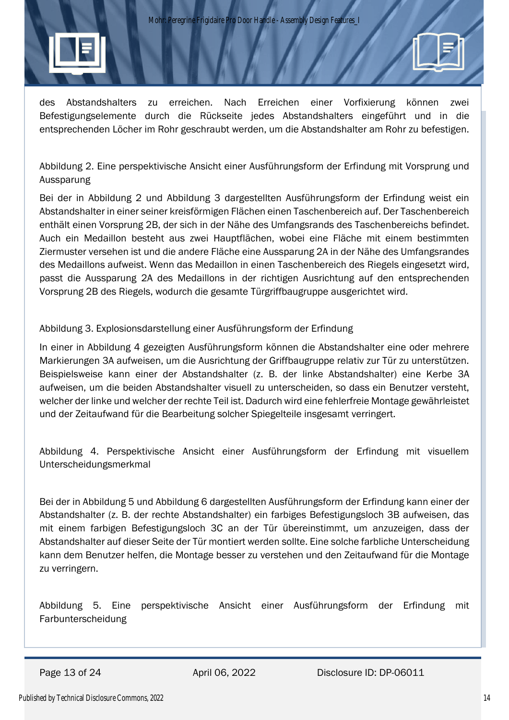des Abstandshalters zu erreichen. Nach Erreichen einer Vorfixierung können zwei Befestigungselemente durch die Rückseite jedes Abstandshalters eingeführt und in die entsprechenden Löcher im Rohr geschraubt werden, um die Abstandshalter am Rohr zu befestigen.

Abbildung 2. Eine perspektivische Ansicht einer Ausführungsform der Erfindung mit Vorsprung und Aussparung

Bei der in Abbildung 2 und Abbildung 3 dargestellten Ausführungsform der Erfindung weist ein Abstandshalter in einer seiner kreisförmigen Flächen einen Taschenbereich auf. Der Taschenbereich enthält einen Vorsprung 2B, der sich in der Nähe des Umfangsrands des Taschenbereichs befindet. Auch ein Medaillon besteht aus zwei Hauptflächen, wobei eine Fläche mit einem bestimmten Ziermuster versehen ist und die andere Fläche eine Aussparung 2A in der Nähe des Umfangsrandes des Medaillons aufweist. Wenn das Medaillon in einen Taschenbereich des Riegels eingesetzt wird, passt die Aussparung 2A des Medaillons in der richtigen Ausrichtung auf den entsprechenden Vorsprung 2B des Riegels, wodurch die gesamte Türgriffbaugruppe ausgerichtet wird.

#### Abbildung 3. Explosionsdarstellung einer Ausführungsform der Erfindung

In einer in Abbildung 4 gezeigten Ausführungsform können die Abstandshalter eine oder mehrere Markierungen 3A aufweisen, um die Ausrichtung der Griffbaugruppe relativ zur Tür zu unterstützen. Beispielsweise kann einer der Abstandshalter (z. B. der linke Abstandshalter) eine Kerbe 3A aufweisen, um die beiden Abstandshalter visuell zu unterscheiden, so dass ein Benutzer versteht, welcher der linke und welcher der rechte Teil ist. Dadurch wird eine fehlerfreie Montage gewährleistet und der Zeitaufwand für die Bearbeitung solcher Spiegelteile insgesamt verringert.

Abbildung 4. Perspektivische Ansicht einer Ausführungsform der Erfindung mit visuellem Unterscheidungsmerkmal

Bei der in Abbildung 5 und Abbildung 6 dargestellten Ausführungsform der Erfindung kann einer der Abstandshalter (z. B. der rechte Abstandshalter) ein farbiges Befestigungsloch 3B aufweisen, das mit einem farbigen Befestigungsloch 3C an der Tür übereinstimmt, um anzuzeigen, dass der Abstandshalter auf dieser Seite der Tür montiert werden sollte. Eine solche farbliche Unterscheidung kann dem Benutzer helfen, die Montage besser zu verstehen und den Zeitaufwand für die Montage zu verringern.

Abbildung 5. Eine perspektivische Ansicht einer Ausführungsform der Erfindung mit Farbunterscheidung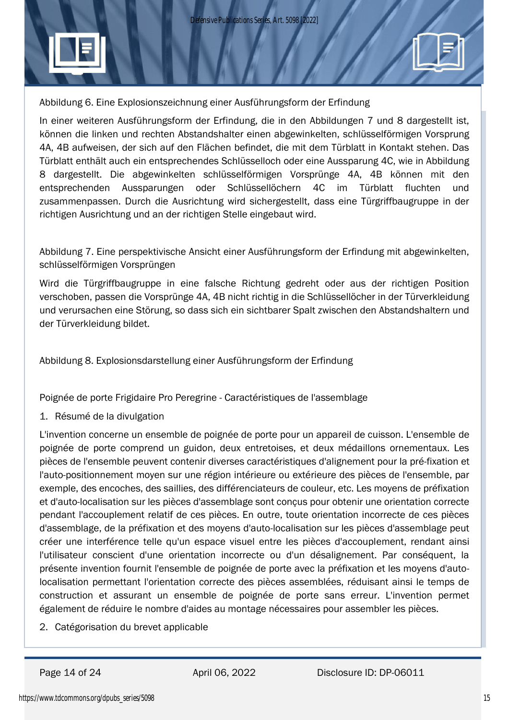

Abbildung 6. Eine Explosionszeichnung einer Ausführungsform der Erfindung

In einer weiteren Ausführungsform der Erfindung, die in den Abbildungen 7 und 8 dargestellt ist, können die linken und rechten Abstandshalter einen abgewinkelten, schlüsselförmigen Vorsprung 4A, 4B aufweisen, der sich auf den Flächen befindet, die mit dem Türblatt in Kontakt stehen. Das Türblatt enthält auch ein entsprechendes Schlüsselloch oder eine Aussparung 4C, wie in Abbildung 8 dargestellt. Die abgewinkelten schlüsselförmigen Vorsprünge 4A, 4B können mit den entsprechenden Aussparungen oder Schlüssellöchern 4C im Türblatt fluchten und zusammenpassen. Durch die Ausrichtung wird sichergestellt, dass eine Türgriffbaugruppe in der richtigen Ausrichtung und an der richtigen Stelle eingebaut wird.

Abbildung 7. Eine perspektivische Ansicht einer Ausführungsform der Erfindung mit abgewinkelten, schlüsselförmigen Vorsprüngen

Wird die Türgriffbaugruppe in eine falsche Richtung gedreht oder aus der richtigen Position verschoben, passen die Vorsprünge 4A, 4B nicht richtig in die Schlüssellöcher in der Türverkleidung und verursachen eine Störung, so dass sich ein sichtbarer Spalt zwischen den Abstandshaltern und der Türverkleidung bildet.

Abbildung 8. Explosionsdarstellung einer Ausführungsform der Erfindung

Poignée de porte Frigidaire Pro Peregrine - Caractéristiques de l'assemblage

1. Résumé de la divulgation

L'invention concerne un ensemble de poignée de porte pour un appareil de cuisson. L'ensemble de poignée de porte comprend un guidon, deux entretoises, et deux médaillons ornementaux. Les pièces de l'ensemble peuvent contenir diverses caractéristiques d'alignement pour la pré-fixation et l'auto-positionnement moyen sur une région intérieure ou extérieure des pièces de l'ensemble, par exemple, des encoches, des saillies, des différenciateurs de couleur, etc. Les moyens de préfixation et d'auto-localisation sur les pièces d'assemblage sont conçus pour obtenir une orientation correcte pendant l'accouplement relatif de ces pièces. En outre, toute orientation incorrecte de ces pièces d'assemblage, de la préfixation et des moyens d'auto-localisation sur les pièces d'assemblage peut créer une interférence telle qu'un espace visuel entre les pièces d'accouplement, rendant ainsi l'utilisateur conscient d'une orientation incorrecte ou d'un désalignement. Par conséquent, la présente invention fournit l'ensemble de poignée de porte avec la préfixation et les moyens d'autolocalisation permettant l'orientation correcte des pièces assemblées, réduisant ainsi le temps de construction et assurant un ensemble de poignée de porte sans erreur. L'invention permet également de réduire le nombre d'aides au montage nécessaires pour assembler les pièces.

2. Catégorisation du brevet applicable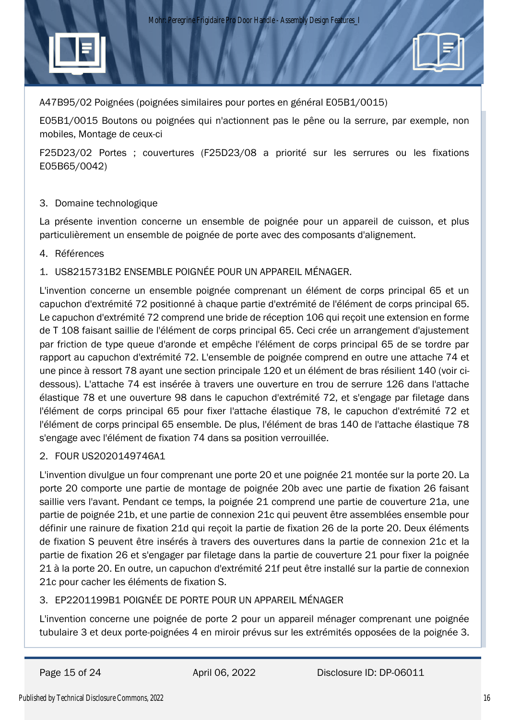A47B95/02 Poignées (poignées similaires pour portes en général E05B1/0015)

E05B1/0015 Boutons ou poignées qui n'actionnent pas le pêne ou la serrure, par exemple, non mobiles, Montage de ceux-ci

F25D23/02 Portes ; couvertures (F25D23/08 a priorité sur les serrures ou les fixations E05B65/0042)

#### 3. Domaine technologique

La présente invention concerne un ensemble de poignée pour un appareil de cuisson, et plus particulièrement un ensemble de poignée de porte avec des composants d'alignement.

#### 4. Références

1. US8215731B2 ENSEMBLE POIGNÉE POUR UN APPAREIL MÉNAGER.

L'invention concerne un ensemble poignée comprenant un élément de corps principal 65 et un capuchon d'extrémité 72 positionné à chaque partie d'extrémité de l'élément de corps principal 65. Le capuchon d'extrémité 72 comprend une bride de réception 106 qui reçoit une extension en forme de T 108 faisant saillie de l'élément de corps principal 65. Ceci crée un arrangement d'ajustement par friction de type queue d'aronde et empêche l'élément de corps principal 65 de se tordre par rapport au capuchon d'extrémité 72. L'ensemble de poignée comprend en outre une attache 74 et une pince à ressort 78 ayant une section principale 120 et un élément de bras résilient 140 (voir cidessous). L'attache 74 est insérée à travers une ouverture en trou de serrure 126 dans l'attache élastique 78 et une ouverture 98 dans le capuchon d'extrémité 72, et s'engage par filetage dans l'élément de corps principal 65 pour fixer l'attache élastique 78, le capuchon d'extrémité 72 et l'élément de corps principal 65 ensemble. De plus, l'élément de bras 140 de l'attache élastique 78 s'engage avec l'élément de fixation 74 dans sa position verrouillée.

#### 2. FOUR US2020149746A1

L'invention divulgue un four comprenant une porte 20 et une poignée 21 montée sur la porte 20. La porte 20 comporte une partie de montage de poignée 20b avec une partie de fixation 26 faisant saillie vers l'avant. Pendant ce temps, la poignée 21 comprend une partie de couverture 21a, une partie de poignée 21b, et une partie de connexion 21c qui peuvent être assemblées ensemble pour définir une rainure de fixation 21d qui reçoit la partie de fixation 26 de la porte 20. Deux éléments de fixation S peuvent être insérés à travers des ouvertures dans la partie de connexion 21c et la partie de fixation 26 et s'engager par filetage dans la partie de couverture 21 pour fixer la poignée 21 à la porte 20. En outre, un capuchon d'extrémité 21f peut être installé sur la partie de connexion 21c pour cacher les éléments de fixation S.

## 3. EP2201199B1 POIGNÉE DE PORTE POUR UN APPAREIL MÉNAGER

L'invention concerne une poignée de porte 2 pour un appareil ménager comprenant une poignée tubulaire 3 et deux porte-poignées 4 en miroir prévus sur les extrémités opposées de la poignée 3.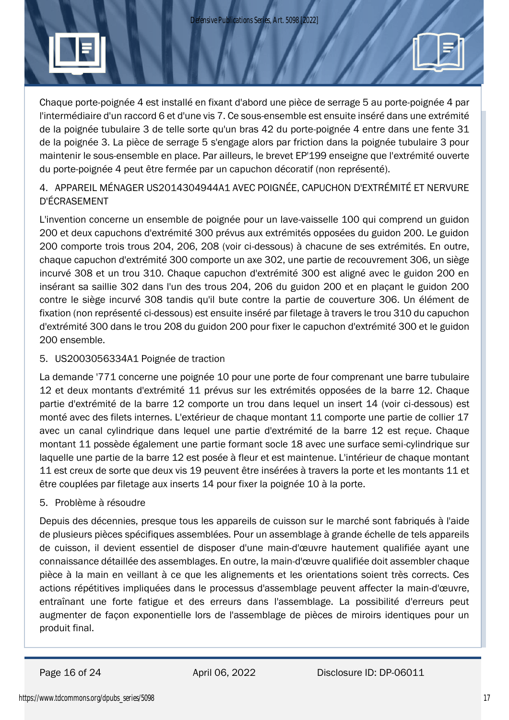

Chaque porte-poignée 4 est installé en fixant d'abord une pièce de serrage 5 au porte-poignée 4 par l'intermédiaire d'un raccord 6 et d'une vis 7. Ce sous-ensemble est ensuite inséré dans une extrémité de la poignée tubulaire 3 de telle sorte qu'un bras 42 du porte-poignée 4 entre dans une fente 31 de la poignée 3. La pièce de serrage 5 s'engage alors par friction dans la poignée tubulaire 3 pour maintenir le sous-ensemble en place. Par ailleurs, le brevet EP'199 enseigne que l'extrémité ouverte du porte-poignée 4 peut être fermée par un capuchon décoratif (non représenté).

# 4. APPAREIL MÉNAGER US2014304944A1 AVEC POIGNÉE, CAPUCHON D'EXTRÉMITÉ ET NERVURE D'ÉCRASEMENT

L'invention concerne un ensemble de poignée pour un lave-vaisselle 100 qui comprend un guidon 200 et deux capuchons d'extrémité 300 prévus aux extrémités opposées du guidon 200. Le guidon 200 comporte trois trous 204, 206, 208 (voir ci-dessous) à chacune de ses extrémités. En outre, chaque capuchon d'extrémité 300 comporte un axe 302, une partie de recouvrement 306, un siège incurvé 308 et un trou 310. Chaque capuchon d'extrémité 300 est aligné avec le guidon 200 en insérant sa saillie 302 dans l'un des trous 204, 206 du guidon 200 et en plaçant le guidon 200 contre le siège incurvé 308 tandis qu'il bute contre la partie de couverture 306. Un élément de fixation (non représenté ci-dessous) est ensuite inséré par filetage à travers le trou 310 du capuchon d'extrémité 300 dans le trou 208 du guidon 200 pour fixer le capuchon d'extrémité 300 et le guidon 200 ensemble.

## 5. US2003056334A1 Poignée de traction

La demande '771 concerne une poignée 10 pour une porte de four comprenant une barre tubulaire 12 et deux montants d'extrémité 11 prévus sur les extrémités opposées de la barre 12. Chaque partie d'extrémité de la barre 12 comporte un trou dans lequel un insert 14 (voir ci-dessous) est monté avec des filets internes. L'extérieur de chaque montant 11 comporte une partie de collier 17 avec un canal cylindrique dans lequel une partie d'extrémité de la barre 12 est reçue. Chaque montant 11 possède également une partie formant socle 18 avec une surface semi-cylindrique sur laquelle une partie de la barre 12 est posée à fleur et est maintenue. L'intérieur de chaque montant 11 est creux de sorte que deux vis 19 peuvent être insérées à travers la porte et les montants 11 et être couplées par filetage aux inserts 14 pour fixer la poignée 10 à la porte.

## 5. Problème à résoudre

Depuis des décennies, presque tous les appareils de cuisson sur le marché sont fabriqués à l'aide de plusieurs pièces spécifiques assemblées. Pour un assemblage à grande échelle de tels appareils de cuisson, il devient essentiel de disposer d'une main-d'œuvre hautement qualifiée ayant une connaissance détaillée des assemblages. En outre, la main-d'œuvre qualifiée doit assembler chaque pièce à la main en veillant à ce que les alignements et les orientations soient très corrects. Ces actions répétitives impliquées dans le processus d'assemblage peuvent affecter la main-d'œuvre, entraînant une forte fatigue et des erreurs dans l'assemblage. La possibilité d'erreurs peut augmenter de façon exponentielle lors de l'assemblage de pièces de miroirs identiques pour un produit final.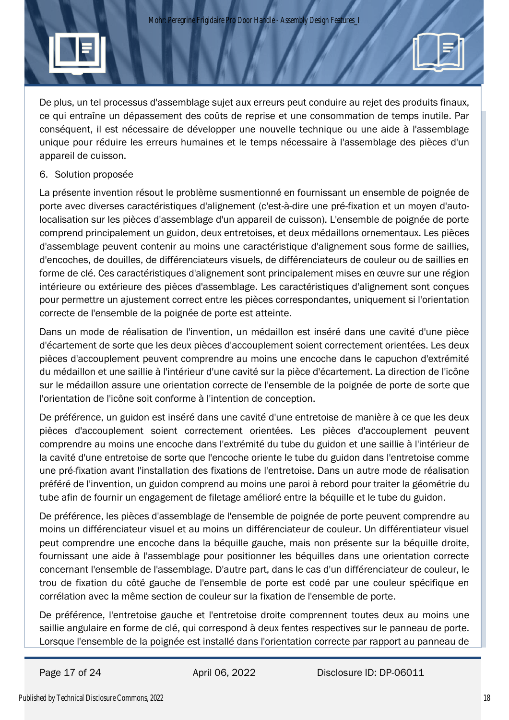De plus, un tel processus d'assemblage sujet aux erreurs peut conduire au rejet des produits finaux, ce qui entraîne un dépassement des coûts de reprise et une consommation de temps inutile. Par conséquent, il est nécessaire de développer une nouvelle technique ou une aide à l'assemblage unique pour réduire les erreurs humaines et le temps nécessaire à l'assemblage des pièces d'un appareil de cuisson.

#### 6. Solution proposée

La présente invention résout le problème susmentionné en fournissant un ensemble de poignée de porte avec diverses caractéristiques d'alignement (c'est-à-dire une pré-fixation et un moyen d'autolocalisation sur les pièces d'assemblage d'un appareil de cuisson). L'ensemble de poignée de porte comprend principalement un guidon, deux entretoises, et deux médaillons ornementaux. Les pièces d'assemblage peuvent contenir au moins une caractéristique d'alignement sous forme de saillies, d'encoches, de douilles, de différenciateurs visuels, de différenciateurs de couleur ou de saillies en forme de clé. Ces caractéristiques d'alignement sont principalement mises en œuvre sur une région intérieure ou extérieure des pièces d'assemblage. Les caractéristiques d'alignement sont conçues pour permettre un ajustement correct entre les pièces correspondantes, uniquement si l'orientation correcte de l'ensemble de la poignée de porte est atteinte.

Dans un mode de réalisation de l'invention, un médaillon est inséré dans une cavité d'une pièce d'écartement de sorte que les deux pièces d'accouplement soient correctement orientées. Les deux pièces d'accouplement peuvent comprendre au moins une encoche dans le capuchon d'extrémité du médaillon et une saillie à l'intérieur d'une cavité sur la pièce d'écartement. La direction de l'icône sur le médaillon assure une orientation correcte de l'ensemble de la poignée de porte de sorte que l'orientation de l'icône soit conforme à l'intention de conception.

De préférence, un guidon est inséré dans une cavité d'une entretoise de manière à ce que les deux pièces d'accouplement soient correctement orientées. Les pièces d'accouplement peuvent comprendre au moins une encoche dans l'extrémité du tube du guidon et une saillie à l'intérieur de la cavité d'une entretoise de sorte que l'encoche oriente le tube du guidon dans l'entretoise comme une pré-fixation avant l'installation des fixations de l'entretoise. Dans un autre mode de réalisation préféré de l'invention, un guidon comprend au moins une paroi à rebord pour traiter la géométrie du tube afin de fournir un engagement de filetage amélioré entre la béquille et le tube du guidon.

De préférence, les pièces d'assemblage de l'ensemble de poignée de porte peuvent comprendre au moins un différenciateur visuel et au moins un différenciateur de couleur. Un différentiateur visuel peut comprendre une encoche dans la béquille gauche, mais non présente sur la béquille droite, fournissant une aide à l'assemblage pour positionner les béquilles dans une orientation correcte concernant l'ensemble de l'assemblage. D'autre part, dans le cas d'un différenciateur de couleur, le trou de fixation du côté gauche de l'ensemble de porte est codé par une couleur spécifique en corrélation avec la même section de couleur sur la fixation de l'ensemble de porte.

De préférence, l'entretoise gauche et l'entretoise droite comprennent toutes deux au moins une saillie angulaire en forme de clé, qui correspond à deux fentes respectives sur le panneau de porte. Lorsque l'ensemble de la poignée est installé dans l'orientation correcte par rapport au panneau de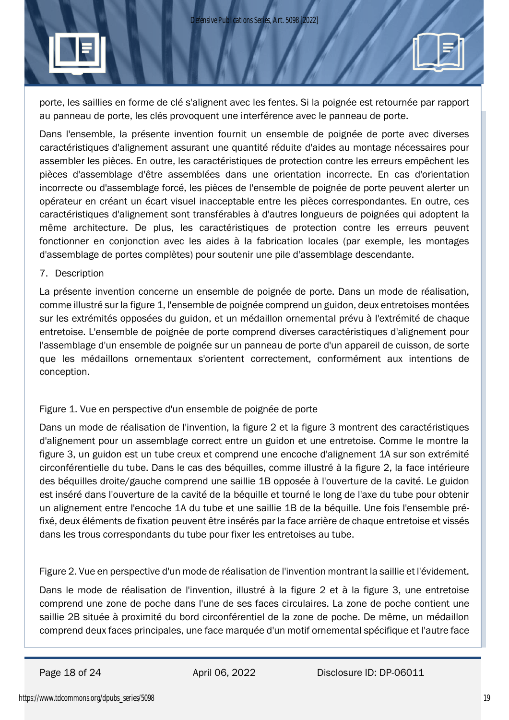porte, les saillies en forme de clé s'alignent avec les fentes. Si la poignée est retournée par rapport au panneau de porte, les clés provoquent une interférence avec le panneau de porte.

Dans l'ensemble, la présente invention fournit un ensemble de poignée de porte avec diverses caractéristiques d'alignement assurant une quantité réduite d'aides au montage nécessaires pour assembler les pièces. En outre, les caractéristiques de protection contre les erreurs empêchent les pièces d'assemblage d'être assemblées dans une orientation incorrecte. En cas d'orientation incorrecte ou d'assemblage forcé, les pièces de l'ensemble de poignée de porte peuvent alerter un opérateur en créant un écart visuel inacceptable entre les pièces correspondantes. En outre, ces caractéristiques d'alignement sont transférables à d'autres longueurs de poignées qui adoptent la même architecture. De plus, les caractéristiques de protection contre les erreurs peuvent fonctionner en conjonction avec les aides à la fabrication locales (par exemple, les montages d'assemblage de portes complètes) pour soutenir une pile d'assemblage descendante.

#### 7. Description

La présente invention concerne un ensemble de poignée de porte. Dans un mode de réalisation, comme illustré sur la figure 1, l'ensemble de poignée comprend un guidon, deux entretoises montées sur les extrémités opposées du guidon, et un médaillon ornemental prévu à l'extrémité de chaque entretoise. L'ensemble de poignée de porte comprend diverses caractéristiques d'alignement pour l'assemblage d'un ensemble de poignée sur un panneau de porte d'un appareil de cuisson, de sorte que les médaillons ornementaux s'orientent correctement, conformément aux intentions de conception.

#### Figure 1. Vue en perspective d'un ensemble de poignée de porte

Dans un mode de réalisation de l'invention, la figure 2 et la figure 3 montrent des caractéristiques d'alignement pour un assemblage correct entre un guidon et une entretoise. Comme le montre la figure 3, un guidon est un tube creux et comprend une encoche d'alignement 1A sur son extrémité circonférentielle du tube. Dans le cas des béquilles, comme illustré à la figure 2, la face intérieure des béquilles droite/gauche comprend une saillie 1B opposée à l'ouverture de la cavité. Le guidon est inséré dans l'ouverture de la cavité de la béquille et tourné le long de l'axe du tube pour obtenir un alignement entre l'encoche 1A du tube et une saillie 1B de la béquille. Une fois l'ensemble préfixé, deux éléments de fixation peuvent être insérés par la face arrière de chaque entretoise et vissés dans les trous correspondants du tube pour fixer les entretoises au tube.

Figure 2. Vue en perspective d'un mode de réalisation de l'invention montrant la saillie et l'évidement.

Dans le mode de réalisation de l'invention, illustré à la figure 2 et à la figure 3, une entretoise comprend une zone de poche dans l'une de ses faces circulaires. La zone de poche contient une saillie 2B située à proximité du bord circonférentiel de la zone de poche. De même, un médaillon comprend deux faces principales, une face marquée d'un motif ornemental spécifique et l'autre face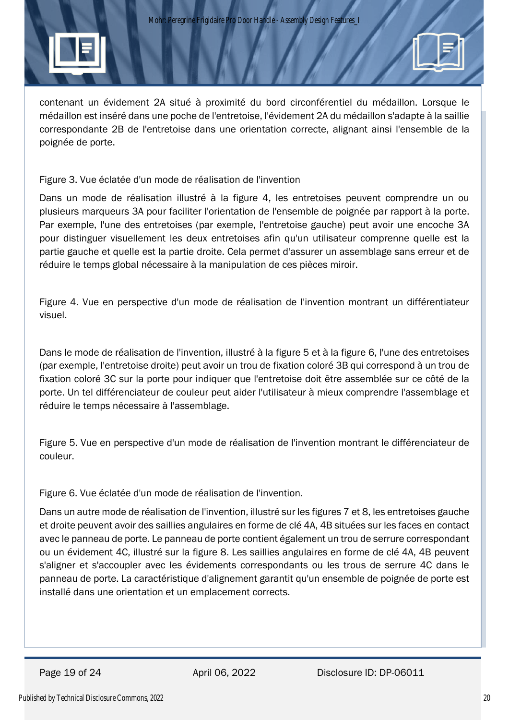contenant un évidement 2A situé à proximité du bord circonférentiel du médaillon. Lorsque le médaillon est inséré dans une poche de l'entretoise, l'évidement 2A du médaillon s'adapte à la saillie correspondante 2B de l'entretoise dans une orientation correcte, alignant ainsi l'ensemble de la poignée de porte.

#### Figure 3. Vue éclatée d'un mode de réalisation de l'invention

Dans un mode de réalisation illustré à la figure 4, les entretoises peuvent comprendre un ou plusieurs marqueurs 3A pour faciliter l'orientation de l'ensemble de poignée par rapport à la porte. Par exemple, l'une des entretoises (par exemple, l'entretoise gauche) peut avoir une encoche 3A pour distinguer visuellement les deux entretoises afin qu'un utilisateur comprenne quelle est la partie gauche et quelle est la partie droite. Cela permet d'assurer un assemblage sans erreur et de réduire le temps global nécessaire à la manipulation de ces pièces miroir.

Figure 4. Vue en perspective d'un mode de réalisation de l'invention montrant un différentiateur visuel.

Dans le mode de réalisation de l'invention, illustré à la figure 5 et à la figure 6, l'une des entretoises (par exemple, l'entretoise droite) peut avoir un trou de fixation coloré 3B qui correspond à un trou de fixation coloré 3C sur la porte pour indiquer que l'entretoise doit être assemblée sur ce côté de la porte. Un tel différenciateur de couleur peut aider l'utilisateur à mieux comprendre l'assemblage et réduire le temps nécessaire à l'assemblage.

Figure 5. Vue en perspective d'un mode de réalisation de l'invention montrant le différenciateur de couleur.

Figure 6. Vue éclatée d'un mode de réalisation de l'invention.

Dans un autre mode de réalisation de l'invention, illustré sur les figures 7 et 8, les entretoises gauche et droite peuvent avoir des saillies angulaires en forme de clé 4A, 4B situées sur les faces en contact avec le panneau de porte. Le panneau de porte contient également un trou de serrure correspondant ou un évidement 4C, illustré sur la figure 8. Les saillies angulaires en forme de clé 4A, 4B peuvent s'aligner et s'accoupler avec les évidements correspondants ou les trous de serrure 4C dans le panneau de porte. La caractéristique d'alignement garantit qu'un ensemble de poignée de porte est installé dans une orientation et un emplacement corrects.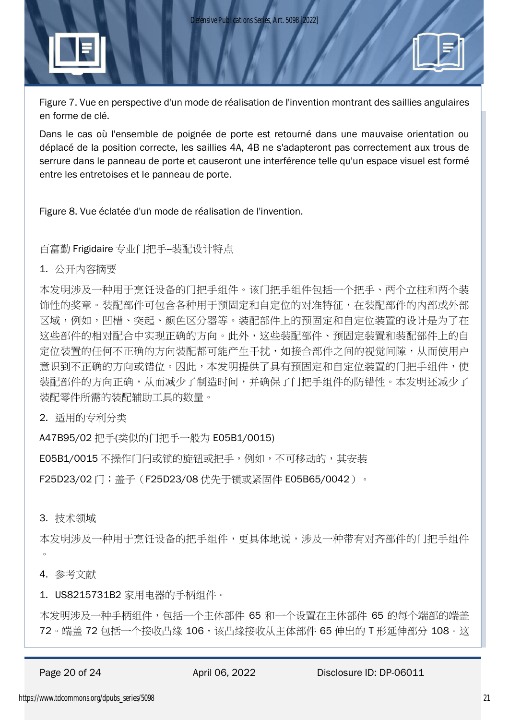*Defensive Publications Series, Art. 5098 [2022]*

Figure 7. Vue en perspective d'un mode de réalisation de l'invention montrant des saillies angulaires en forme de clé.

Dans le cas où l'ensemble de poignée de porte est retourné dans une mauvaise orientation ou déplacé de la position correcte, les saillies 4A, 4B ne s'adapteront pas correctement aux trous de serrure dans le panneau de porte et causeront une interférence telle qu'un espace visuel est formé entre les entretoises et le panneau de porte.

Figure 8. Vue éclatée d'un mode de réalisation de l'invention.

百富勤 Frigidaire 专业门把手--装配设计特点

#### 1. 公开内容摘要

本发明涉及一种用于烹饪设备的门把手组件。该门把手组件包括一个把手、两个立柱和两个装 饰性的奖章。装配部件可包含各种用于预固定和自定位的对准特征,在装配部件的内部或外部 区域,例如,凹槽、突起、颜色区分器等。装配部件上的预固定和自定位装置的设计是为了在 这些部件的相对配合中实现正确的方向。此外,这些装配部件、预固定装置和装配部件上的自 定位装置的任何不正确的方向装配都可能产生干扰,如接合部件之间的视觉间隙,从而使用户 意识到不正确的方向或错位。因此,本发明提供了具有预固定和自定位装置的门把手组件,使 装配部件的方向正确,从而减少了制造时间,并确保了门把手组件的防错性。本发明还减少了 装配零件所需的装配辅助工具的数量。

2. 适用的专利分类

A47B95/02 把手(类似的门把手一般为 E05B1/0015)

E05B1/0015 不操作门闩或锁的旋钮或把手,例如,不可移动的,其安装

F25D23/02 门;盖子(F25D23/08 优先于锁或紧固件 E05B65/0042)。

#### 3. 技术领域

本发明涉及一种用于烹饪设备的把手组件,更具体地说,涉及一种带有对齐部件的门把手组件  $\circ$ 

#### 4. 参考文献

1. US8215731B2 家用电器的手柄组件。

本发明涉及一种手柄组件,包括一个主体部件 65 和一个设置在主体部件 65 的每个端部的端盖 72。端盖 72 包括一个接收凸缘 106,该凸缘接收从主体部件 65 伸出的 T 形延伸部分 108。这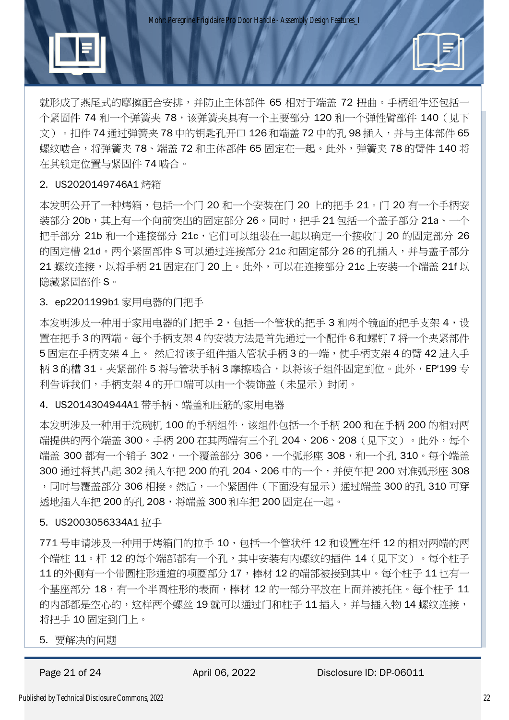就形成了燕尾式的摩擦配合安排,并防止主体部件 65 相对于端盖 72 扭曲。手柄组件还包括一 个紧固件 74 和一个弹簧夹 78,该弹簧夹具有一个主要部分 120 和一个弹性臂部件 140 (见下 文)。扣件 74 通过弹簧夹 78 中的钥匙孔开口 126 和端盖 72 中的孔 98 插入,并与主体部件 65 螺纹啮合,将弹簧夹 78、端盖 72 和主体部件 65 固定在一起。此外,弹簧夹 78 的臂件 140 将 在其锁定位置与紧固件 74 啮合。

#### 2. US2020149746A1 烤箱

本发明公开了一种烤箱,包括一个门 20 和一个安装在门 20 上的把手 21。门 20 有一个手柄安 装部分 20b,其上有一个向前突出的固定部分 26。同时,把手 21 包括一个盖子部分 21a、一个 把手部分 21b 和一个连接部分 21c,它们可以组装在一起以确定一个接收门 20 的固定部分 26 的固定槽 21d。两个紧固部件 S 可以涌过连接部分 21c 和固定部分 26 的孔插入,并与盖子部分 21 螺纹连接,以将手柄 21 固定在门 20 上。此外,可以在连接部分 21c 上安装一个端盖 21f 以 隐藏紧固部件 S。

#### 3. ep2201199b1 家用电器的门把手

本发明涉及一种用干家用电器的门把手 2,包括一个管状的把手 3 和两个镜面的把手支架 4,设 置在把手 3 的两端。每个手柄支架 4 的安装方法是首先通过一个配件 6 和螺钉 7 将一个夹紧部件 5 固定在手柄支架 4 上。 然后将该子组件插入管状手柄 3 的一端,使手柄支架 4 的臂 42 进入手 柄 3 的槽 31。夹紧部件 5 将与管状手柄 3 摩擦啮合,以将该子组件固定到位。此外,EP'199 专 利告诉我们,手柄支架 4 的开口端可以由一个装饰盖 (未显示)封闭。

#### 4. US2014304944A1 带手柄、端盖和压筋的家用电器

本发明涉及一种用于洗碗机 100 的手柄组件,该组件包括一个手柄 200 和在手柄 200 的相对两 端提供的两个端盖 300。手柄 200 在其两端有三个孔 204、206、208(见下文)。此外,每个 端盖 300 都有一个销子 302,一个覆盖部分 306,一个弧形座 308,和一个孔 310。每个端盖 300 通过将其凸起 302 插入车把 200 的孔 204、206 中的一个,并使车把 200 对准弧形座 308 ,同时与覆盖部分 306 相接。然后,一个紧固件(下面没有显示)通过端盖 300 的孔 310 可穿 透地插入车把 200 的孔 208,将端盖 300 和车把 200 固定在一起。

#### 5. US2003056334A1 拉手

771 号申请涉及一种用于烤箱门的拉手 10,包括一个管状杆 12 和设置在杆 12 的相对两端的两 个端柱 11。杆 12 的每个端部都有一个孔,其中安装有内螺纹的插件 14 (见下文) 。每个柱子 11 的外侧有一个带圆柱形通道的项圈部分 17,棒材 12 的端部被接到其中。每个柱子 11 也有一 个基座部分 18,有一个半圆柱形的表面,棒材 12 的一部分平放在上面并被托住。每个柱子 11 的内部都是空心的,这样两个螺丝 19 就可以通过门和柱子 11 插入,并与插入物 14 螺纹连接, 将把手 10 固定到门上。

5. 要解决的问题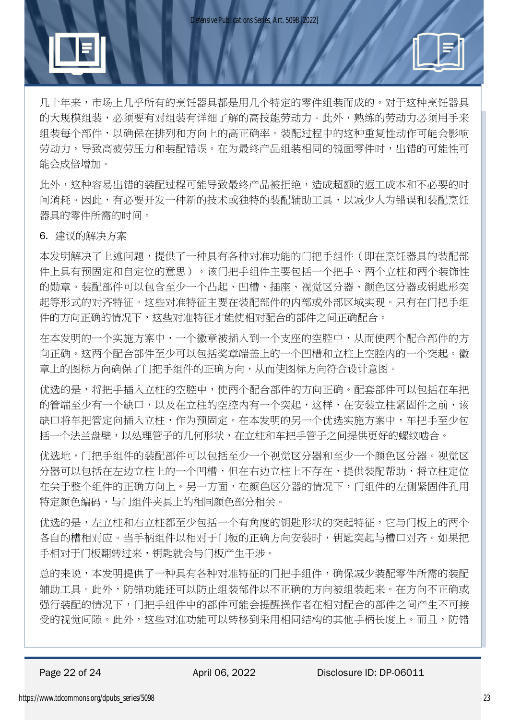

几十年来,市场上几乎所有的烹饪器具都是用几个特定的零件组装而成的。对于这种烹饪器具 的大规模组装,必须要有对组装有详细了解的高技能劳动力。此外,熟练的劳动力必须用手来 组装每个部件,以确保在排列和方向上的高正确率。装配过程中的这种重复性动作可能会影响 劳动力,导致高疲劳压力和装配错误。在为最终产品组装相同的镜面零件时,出错的可能性可 能会成倍增加。

此外,这种容易出错的装配过程可能导致最终产品被拒绝,造成超额的返工成本和不必要的时 间消耗。因此,有必要开发一种新的技术或独特的装配辅助工具,以减少人为错误和装配烹饪 器具的零件所需的时间。

6. 建议的解决方案

本发明解决了上述问题,提供了一种具有各种对准功能的门把手组件(即在烹饪器具的装配部 件上具有预固定和自定位的意思)。该门把手组件主要包括一个把手、两个立柱和两个装饰性 的勋章。装配部件可以包含至少一个凸起、凹槽、插座、视觉区分器、颜色区分器或钥匙形突 起等形式的对齐特征。这些对准特征主要在装配部件的内部或外部区域实现。只有在门把手组 件的方向正确的情况下,这些对准特征才能使相对配合的部件之间正确配合。

在本发明的一个实施方案中,一个徽章被插入到一个支座的空腔中,从而使两个配合部件的方 向正确。这两个配合部件至少可以包括奖章端盖上的一个凹槽和立柱上空腔内的一个突起。徽 章上的图标方向确保了门把手组件的正确方向,从而使图标方向符合设计意图。

优选的是,将把手插入立柱的空腔中,使两个配合部件的方向正确。配套部件可以包括在车把 的管端至少有一个缺口,以及在立柱的空腔内有一个突起,这样,在安装立柱紧固件之前,该 缺口将车把管定向插入立柱,作为预固定。在本发明的另一个优选实施方案中,车把手至少包 括一个法兰盘壁,以处理管子的几何形状,在立柱和车把手管子之间提供更好的螺纹啮合。

优选地,门把手组件的装配部件可以包括至少一个视觉区分器和至少一个颜色区分器。视觉区 分器可以包括在左边立柱的一个凹槽,但在右边立柱上不存在,提供装配帮助,将立柱定位 在关于整个组件的正确方向上。另一方面,在颜色区分器的情况下,门组件的左侧紧固件孔用 特定颜色编码,与门组件夹具上的相同颜色部分相关。

优选的是,左立柱和右立柱都至少包括一个有角度的钥匙形状的突起特征,它与门板上的两个 各自的槽相对应。当手柄组件以相对于门板的正确方向安装时,钥匙突起与槽口对齐。如果把 手相对于门板翻转过来,钥匙就会与门板产生干涉。

总的来说,本发明提供了一种具有各种对准特征的门把手组件,确保减少装配零件所需的装配 辅助工具。此外,防错功能还可以防止组装部件以不正确的方向被组装起来。在方向不正确或 强行装配的情况下,门把手组件中的部件可能会提醒操作者在相对配合的部件之间产生不可接 受的视觉间隙。此外,这些对准功能可以转移到采用相同结构的其他手柄长度上。而且,防错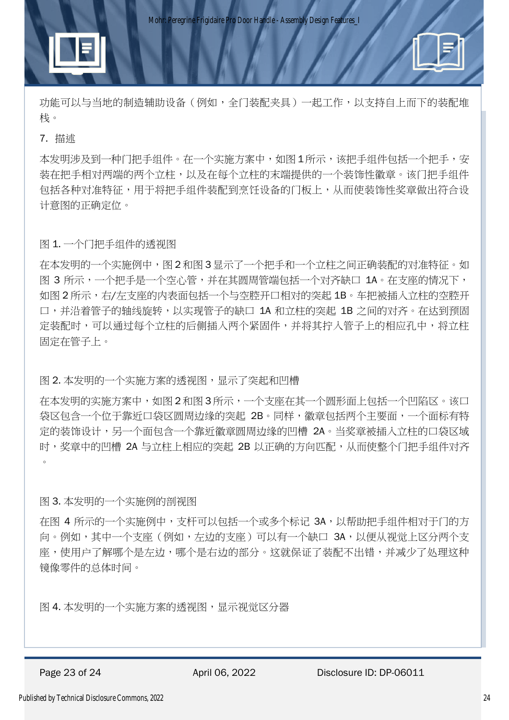功能可以与当地的制造辅助设备(例如,全门装配夹具)一起工作,以支持自上而下的装配堆 栈。

#### 7. 描述

本发明涉及到一种门把手组件。在一个实施方案中,如图 1 所示,该把手组件包括一个把手,安 装在把手相对两端的两个立柱,以及在每个立柱的末端提供的一个装饰性徽章。该门把手组件 包括各种对准特征,用于将把手组件装配到烹饪设备的门板上,从而使装饰性奖章做出符合设 计意图的正确定位。

### 图 1. 一个门把手组件的透视图

在本发明的一个实施例中,图 2 和图 3 显示了一个把手和一个立柱之间正确装配的对准特征。如 图 3 所示,一个把手是一个空心管,并在其圆周管端包括一个对齐缺口 1A。在支座的情况下, 如图 2 所示,右/左支座的内表面包括一个与空腔开口相对的突起 1B。车把被插入立柱的空腔开 口,并沿着管子的轴线旋转,以实现管子的缺口 1A 和立柱的突起 1B 之间的对齐。在达到预固 定装配时,可以通过每个立柱的后侧插入两个紧固件,并将其拧入管子上的相应孔中,将立柱 固定在管子上。

图 2. 本发明的一个实施方案的透视图,显示了突起和凹槽

在本发明的实施方案中,如图 2 和图 3 所示,一个支座在其一个圆形面上包括一个凹陷区。该口 袋区包含一个位于靠近口袋区圆周边缘的突起 2B。同样,徽章包括两个主要面,一个面标有特 定的装饰设计,另一个面包含一个靠近徽章圆周边缘的凹槽 2A。当奖章被插入立柱的口袋区域 时,奖章中的凹槽 2A 与立柱上相应的突起 2B 以正确的方向匹配,从而使整个门把手组件对齐  $\circ$ 

#### 图 3. 本发明的一个实施例的剖视图

在图 4 所示的一个实施例中,支杆可以包括一个或多个标记 3A,以帮助把手组件相对于门的方 向。例如,其中一个支座(例如,左边的支座)可以有一个缺口 3A,以便从视觉上区分两个支 座,使用户了解哪个是左边,哪个是右边的部分。这就保证了装配不出错,并减少了处理这种 镜像零件的总体时间。

图 4. 本发明的一个实施方案的透视图,显示视觉区分器